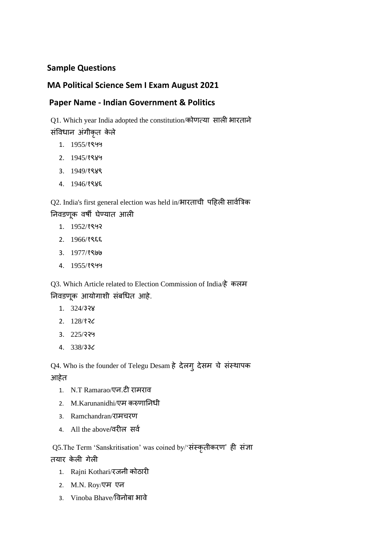## **Sample Questions**

## **MA Political Science Sem I Exam August 2021**

## **Paper Name - Indian Government & Politics**

Q1. Which year India adopted the constitution/कोणत्या साली भारताने

संविधान अंगीकृत केले

- 1. 1955/१९५५
- 2. 1945/१९४५
- 3. 1949/१९४९
- 4. 1946/१९४६

Q2. India's first general election was held in/भारताची पहिली सािवत्रिक निवडणूक वर्षी घेण्यात आली

- 1. 1952/१९५२
- 2. 1966/१९६६
- 3. 1977/१९७७
- 4. 1955/१९५५

Q3. Which Article related to Election Commission of India/िे कलम निवडणूक आयोगाशी संबधित आहे.

- 1. 324/३२४
- 2. 128/१२८
- 3. 225/२२५
- 4. 338/३३८

Q4. Who is the founder of Telegu Desam हे देलगु देसम चे संस्थापक

## आहेत

- 1. N.T Ramarao/एन.टी रामराव
- 2. M.Karunanidhi/एम करुणाननधी
- 3. Ramchandran/रामचरण
- 4. All the above/वरील सर्व

Q5.The Term 'Sanskritisation' was coined by/'संस्कृतीकरण' ही संज्ञा तयार के ली गेली

- 1. Rajni Kothari/रजनी कोठारी
- 2. M.N. Roy/एम एन
- 3. Vinoba Bhave/विनोबा भािे